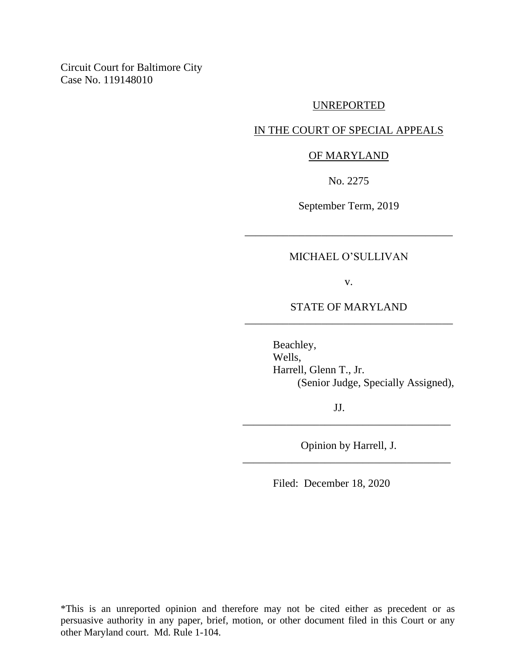Circuit Court for Baltimore City Case No. 119148010

#### UNREPORTED

## IN THE COURT OF SPECIAL APPEALS

## OF MARYLAND

No. 2275

September Term, 2019

## MICHAEL O'SULLIVAN

\_\_\_\_\_\_\_\_\_\_\_\_\_\_\_\_\_\_\_\_\_\_\_\_\_\_\_\_\_\_\_\_\_\_\_\_\_\_

v.

# STATE OF MARYLAND \_\_\_\_\_\_\_\_\_\_\_\_\_\_\_\_\_\_\_\_\_\_\_\_\_\_\_\_\_\_\_\_\_\_\_\_\_\_

Beachley, Wells, Harrell, Glenn T., Jr. (Senior Judge, Specially Assigned),

JJ.

Opinion by Harrell, J. \_\_\_\_\_\_\_\_\_\_\_\_\_\_\_\_\_\_\_\_\_\_\_\_\_\_\_\_\_\_\_\_\_\_\_\_\_\_

\_\_\_\_\_\_\_\_\_\_\_\_\_\_\_\_\_\_\_\_\_\_\_\_\_\_\_\_\_\_\_\_\_\_\_\_\_\_

Filed: December 18, 2020

\*This is an unreported opinion and therefore may not be cited either as precedent or as persuasive authority in any paper, brief, motion, or other document filed in this Court or any other Maryland court. Md. Rule 1-104.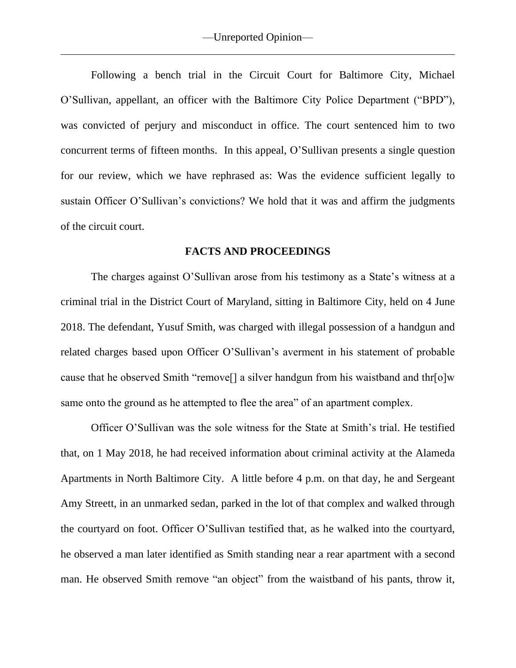Following a bench trial in the Circuit Court for Baltimore City, Michael O'Sullivan, appellant, an officer with the Baltimore City Police Department ("BPD"), was convicted of perjury and misconduct in office. The court sentenced him to two concurrent terms of fifteen months. In this appeal, O'Sullivan presents a single question for our review, which we have rephrased as: Was the evidence sufficient legally to sustain Officer O'Sullivan's convictions? We hold that it was and affirm the judgments of the circuit court.

### **FACTS AND PROCEEDINGS**

The charges against O'Sullivan arose from his testimony as a State's witness at a criminal trial in the District Court of Maryland, sitting in Baltimore City, held on 4 June 2018. The defendant, Yusuf Smith, was charged with illegal possession of a handgun and related charges based upon Officer O'Sullivan's averment in his statement of probable cause that he observed Smith "remove<sup>[]</sup> a silver handgun from his waistband and thr $\lceil o \rceil w$ same onto the ground as he attempted to flee the area" of an apartment complex.

Officer O'Sullivan was the sole witness for the State at Smith's trial. He testified that, on 1 May 2018, he had received information about criminal activity at the Alameda Apartments in North Baltimore City. A little before 4 p.m. on that day, he and Sergeant Amy Streett, in an unmarked sedan, parked in the lot of that complex and walked through the courtyard on foot. Officer O'Sullivan testified that, as he walked into the courtyard, he observed a man later identified as Smith standing near a rear apartment with a second man. He observed Smith remove "an object" from the waistband of his pants, throw it,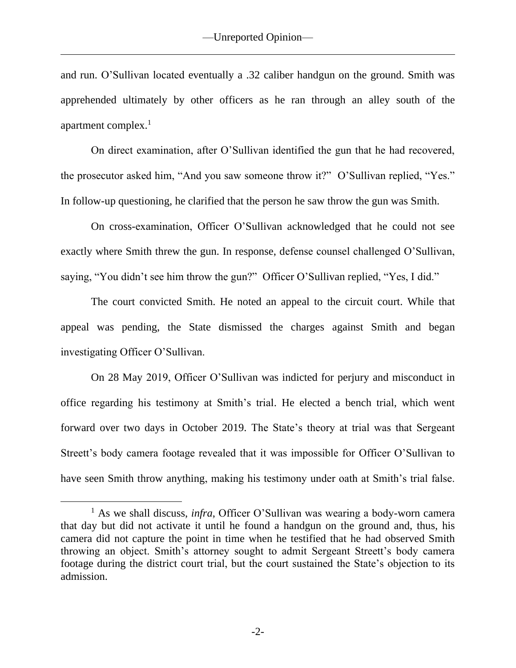and run. O'Sullivan located eventually a .32 caliber handgun on the ground. Smith was apprehended ultimately by other officers as he ran through an alley south of the apartment complex. $<sup>1</sup>$ </sup>

On direct examination, after O'Sullivan identified the gun that he had recovered, the prosecutor asked him, "And you saw someone throw it?" O'Sullivan replied, "Yes." In follow-up questioning, he clarified that the person he saw throw the gun was Smith.

On cross-examination, Officer O'Sullivan acknowledged that he could not see exactly where Smith threw the gun. In response, defense counsel challenged O'Sullivan, saying, "You didn't see him throw the gun?" Officer O'Sullivan replied, "Yes, I did."

The court convicted Smith. He noted an appeal to the circuit court. While that appeal was pending, the State dismissed the charges against Smith and began investigating Officer O'Sullivan.

On 28 May 2019, Officer O'Sullivan was indicted for perjury and misconduct in office regarding his testimony at Smith's trial. He elected a bench trial, which went forward over two days in October 2019. The State's theory at trial was that Sergeant Streett's body camera footage revealed that it was impossible for Officer O'Sullivan to have seen Smith throw anything, making his testimony under oath at Smith's trial false.

<sup>1</sup> As we shall discuss, *infra*, Officer O'Sullivan was wearing a body-worn camera that day but did not activate it until he found a handgun on the ground and, thus, his camera did not capture the point in time when he testified that he had observed Smith throwing an object. Smith's attorney sought to admit Sergeant Streett's body camera footage during the district court trial, but the court sustained the State's objection to its admission.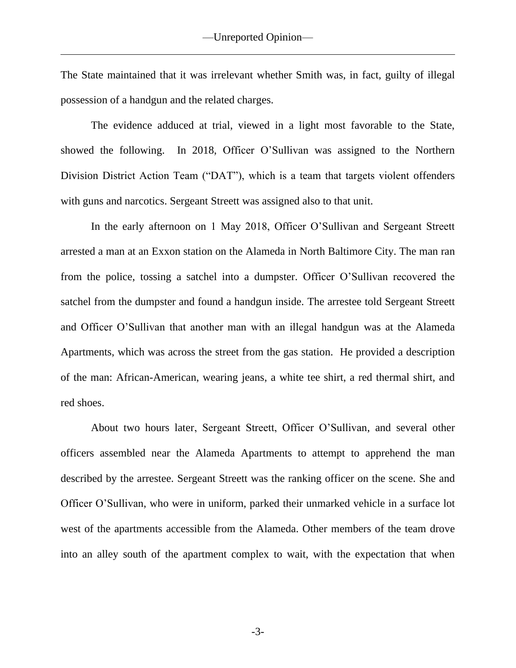The State maintained that it was irrelevant whether Smith was, in fact, guilty of illegal possession of a handgun and the related charges.

The evidence adduced at trial, viewed in a light most favorable to the State, showed the following. In 2018, Officer O'Sullivan was assigned to the Northern Division District Action Team ("DAT"), which is a team that targets violent offenders with guns and narcotics. Sergeant Streett was assigned also to that unit.

In the early afternoon on 1 May 2018, Officer O'Sullivan and Sergeant Streett arrested a man at an Exxon station on the Alameda in North Baltimore City. The man ran from the police, tossing a satchel into a dumpster. Officer O'Sullivan recovered the satchel from the dumpster and found a handgun inside. The arrestee told Sergeant Streett and Officer O'Sullivan that another man with an illegal handgun was at the Alameda Apartments, which was across the street from the gas station. He provided a description of the man: African-American, wearing jeans, a white tee shirt, a red thermal shirt, and red shoes.

About two hours later, Sergeant Streett, Officer O'Sullivan, and several other officers assembled near the Alameda Apartments to attempt to apprehend the man described by the arrestee. Sergeant Streett was the ranking officer on the scene. She and Officer O'Sullivan, who were in uniform, parked their unmarked vehicle in a surface lot west of the apartments accessible from the Alameda. Other members of the team drove into an alley south of the apartment complex to wait, with the expectation that when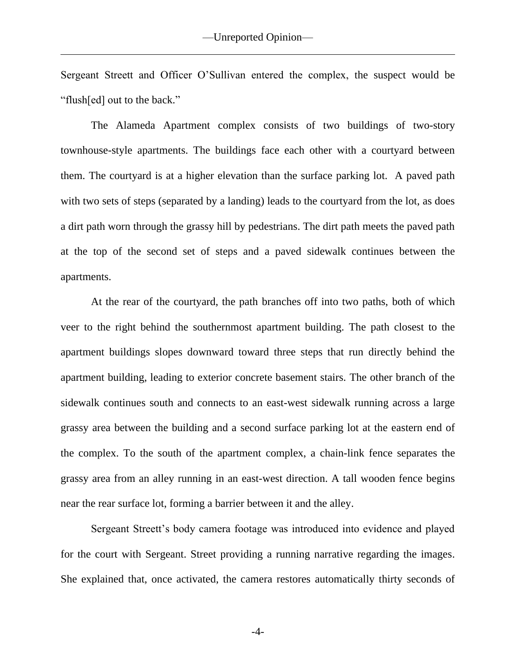Sergeant Streett and Officer O'Sullivan entered the complex, the suspect would be "flush[ed] out to the back."

The Alameda Apartment complex consists of two buildings of two-story townhouse-style apartments. The buildings face each other with a courtyard between them. The courtyard is at a higher elevation than the surface parking lot. A paved path with two sets of steps (separated by a landing) leads to the courtyard from the lot, as does a dirt path worn through the grassy hill by pedestrians. The dirt path meets the paved path at the top of the second set of steps and a paved sidewalk continues between the apartments.

At the rear of the courtyard, the path branches off into two paths, both of which veer to the right behind the southernmost apartment building. The path closest to the apartment buildings slopes downward toward three steps that run directly behind the apartment building, leading to exterior concrete basement stairs. The other branch of the sidewalk continues south and connects to an east-west sidewalk running across a large grassy area between the building and a second surface parking lot at the eastern end of the complex. To the south of the apartment complex, a chain-link fence separates the grassy area from an alley running in an east-west direction. A tall wooden fence begins near the rear surface lot, forming a barrier between it and the alley.

Sergeant Streett's body camera footage was introduced into evidence and played for the court with Sergeant. Street providing a running narrative regarding the images. She explained that, once activated, the camera restores automatically thirty seconds of

-4-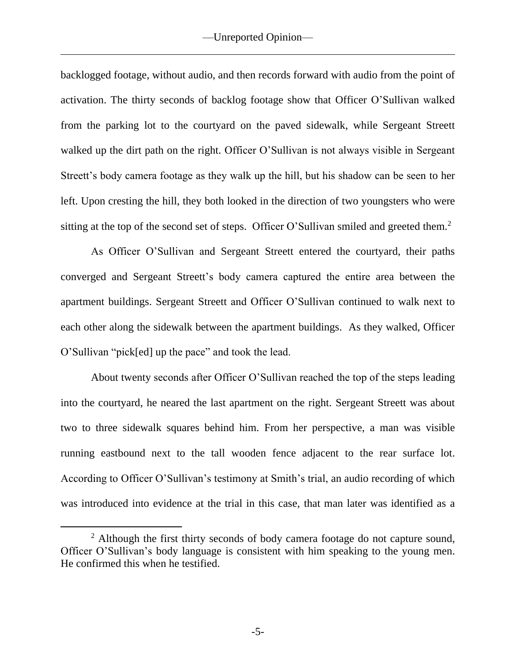backlogged footage, without audio, and then records forward with audio from the point of activation. The thirty seconds of backlog footage show that Officer O'Sullivan walked from the parking lot to the courtyard on the paved sidewalk, while Sergeant Streett walked up the dirt path on the right. Officer O'Sullivan is not always visible in Sergeant Streett's body camera footage as they walk up the hill, but his shadow can be seen to her left. Upon cresting the hill, they both looked in the direction of two youngsters who were sitting at the top of the second set of steps. Officer O'Sullivan smiled and greeted them.<sup>2</sup>

As Officer O'Sullivan and Sergeant Streett entered the courtyard, their paths converged and Sergeant Streett's body camera captured the entire area between the apartment buildings. Sergeant Streett and Officer O'Sullivan continued to walk next to each other along the sidewalk between the apartment buildings. As they walked, Officer O'Sullivan "pick[ed] up the pace" and took the lead.

About twenty seconds after Officer O'Sullivan reached the top of the steps leading into the courtyard, he neared the last apartment on the right. Sergeant Streett was about two to three sidewalk squares behind him. From her perspective, a man was visible running eastbound next to the tall wooden fence adjacent to the rear surface lot. According to Officer O'Sullivan's testimony at Smith's trial, an audio recording of which was introduced into evidence at the trial in this case, that man later was identified as a

 $2$  Although the first thirty seconds of body camera footage do not capture sound, Officer O'Sullivan's body language is consistent with him speaking to the young men. He confirmed this when he testified.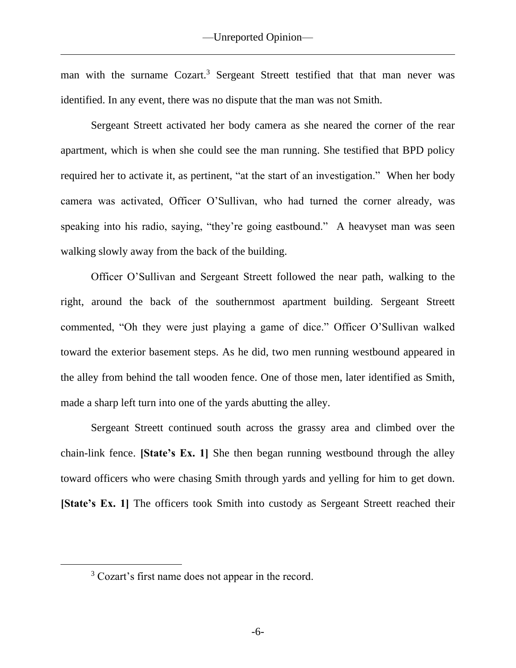man with the surname Cozart.<sup>3</sup> Sergeant Streett testified that that man never was identified. In any event, there was no dispute that the man was not Smith.

Sergeant Streett activated her body camera as she neared the corner of the rear apartment, which is when she could see the man running. She testified that BPD policy required her to activate it, as pertinent, "at the start of an investigation." When her body camera was activated, Officer O'Sullivan, who had turned the corner already, was speaking into his radio, saying, "they're going eastbound." A heavyset man was seen walking slowly away from the back of the building.

Officer O'Sullivan and Sergeant Streett followed the near path, walking to the right, around the back of the southernmost apartment building. Sergeant Streett commented, "Oh they were just playing a game of dice." Officer O'Sullivan walked toward the exterior basement steps. As he did, two men running westbound appeared in the alley from behind the tall wooden fence. One of those men, later identified as Smith, made a sharp left turn into one of the yards abutting the alley.

Sergeant Streett continued south across the grassy area and climbed over the chain-link fence. **[State's Ex. 1]** She then began running westbound through the alley toward officers who were chasing Smith through yards and yelling for him to get down. **[State's Ex. 1]** The officers took Smith into custody as Sergeant Streett reached their

<sup>&</sup>lt;sup>3</sup> Cozart's first name does not appear in the record.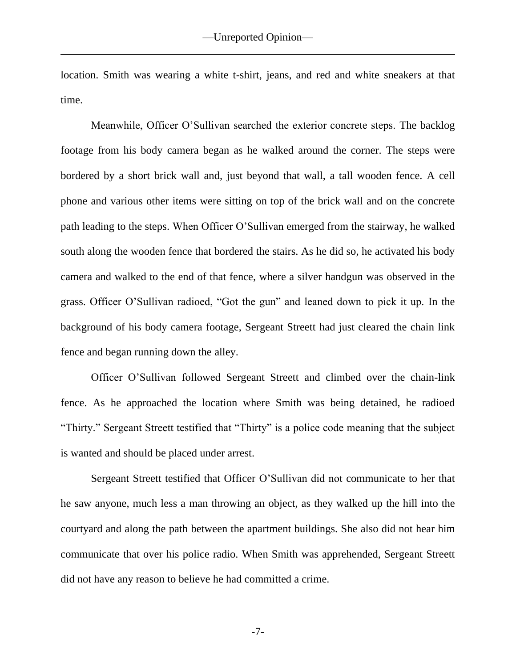location. Smith was wearing a white t-shirt, jeans, and red and white sneakers at that time.

Meanwhile, Officer O'Sullivan searched the exterior concrete steps. The backlog footage from his body camera began as he walked around the corner. The steps were bordered by a short brick wall and, just beyond that wall, a tall wooden fence. A cell phone and various other items were sitting on top of the brick wall and on the concrete path leading to the steps. When Officer O'Sullivan emerged from the stairway, he walked south along the wooden fence that bordered the stairs. As he did so, he activated his body camera and walked to the end of that fence, where a silver handgun was observed in the grass. Officer O'Sullivan radioed, "Got the gun" and leaned down to pick it up. In the background of his body camera footage, Sergeant Streett had just cleared the chain link fence and began running down the alley.

Officer O'Sullivan followed Sergeant Streett and climbed over the chain-link fence. As he approached the location where Smith was being detained, he radioed "Thirty." Sergeant Streett testified that "Thirty" is a police code meaning that the subject is wanted and should be placed under arrest.

Sergeant Streett testified that Officer O'Sullivan did not communicate to her that he saw anyone, much less a man throwing an object, as they walked up the hill into the courtyard and along the path between the apartment buildings. She also did not hear him communicate that over his police radio. When Smith was apprehended, Sergeant Streett did not have any reason to believe he had committed a crime.

-7-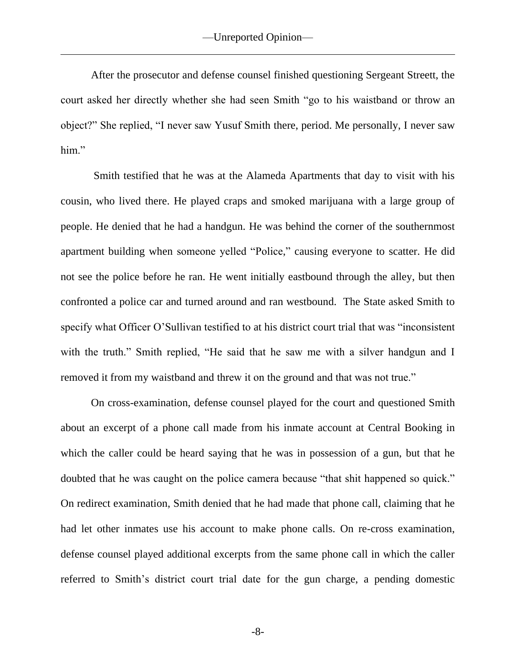After the prosecutor and defense counsel finished questioning Sergeant Streett, the court asked her directly whether she had seen Smith "go to his waistband or throw an object?" She replied, "I never saw Yusuf Smith there, period. Me personally, I never saw him."

Smith testified that he was at the Alameda Apartments that day to visit with his cousin, who lived there. He played craps and smoked marijuana with a large group of people. He denied that he had a handgun. He was behind the corner of the southernmost apartment building when someone yelled "Police," causing everyone to scatter. He did not see the police before he ran. He went initially eastbound through the alley, but then confronted a police car and turned around and ran westbound. The State asked Smith to specify what Officer O'Sullivan testified to at his district court trial that was "inconsistent with the truth." Smith replied, "He said that he saw me with a silver handgun and I removed it from my waistband and threw it on the ground and that was not true."

On cross-examination, defense counsel played for the court and questioned Smith about an excerpt of a phone call made from his inmate account at Central Booking in which the caller could be heard saying that he was in possession of a gun, but that he doubted that he was caught on the police camera because "that shit happened so quick." On redirect examination, Smith denied that he had made that phone call, claiming that he had let other inmates use his account to make phone calls. On re-cross examination, defense counsel played additional excerpts from the same phone call in which the caller referred to Smith's district court trial date for the gun charge, a pending domestic

-8-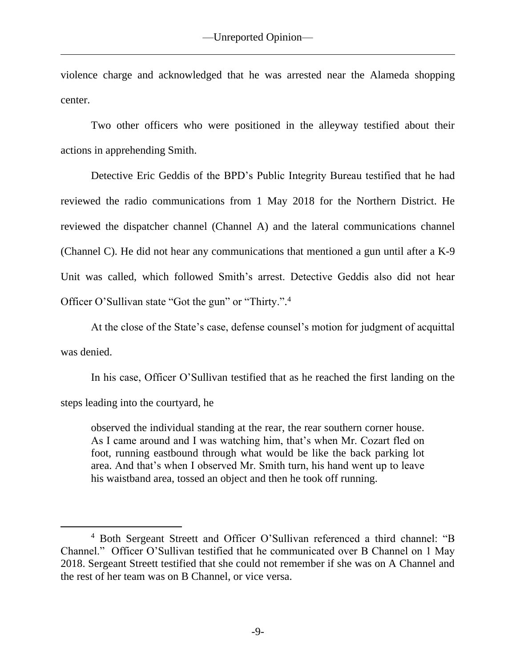violence charge and acknowledged that he was arrested near the Alameda shopping center.

Two other officers who were positioned in the alleyway testified about their actions in apprehending Smith.

Detective Eric Geddis of the BPD's Public Integrity Bureau testified that he had reviewed the radio communications from 1 May 2018 for the Northern District. He reviewed the dispatcher channel (Channel A) and the lateral communications channel (Channel C). He did not hear any communications that mentioned a gun until after a K-9 Unit was called, which followed Smith's arrest. Detective Geddis also did not hear Officer O'Sullivan state "Got the gun" or "Thirty.".<sup>4</sup>

At the close of the State's case, defense counsel's motion for judgment of acquittal was denied.

In his case, Officer O'Sullivan testified that as he reached the first landing on the steps leading into the courtyard, he

observed the individual standing at the rear, the rear southern corner house. As I came around and I was watching him, that's when Mr. Cozart fled on foot, running eastbound through what would be like the back parking lot area. And that's when I observed Mr. Smith turn, his hand went up to leave his waistband area, tossed an object and then he took off running.

<sup>4</sup> Both Sergeant Streett and Officer O'Sullivan referenced a third channel: "B Channel." Officer O'Sullivan testified that he communicated over B Channel on 1 May 2018. Sergeant Streett testified that she could not remember if she was on A Channel and the rest of her team was on B Channel, or vice versa.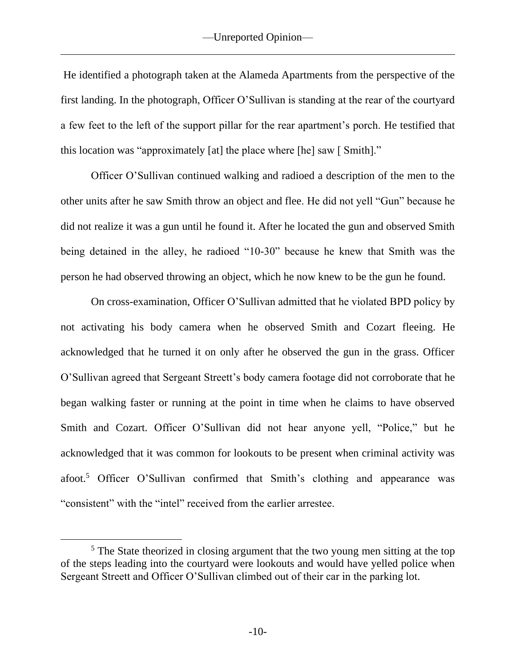He identified a photograph taken at the Alameda Apartments from the perspective of the first landing. In the photograph, Officer O'Sullivan is standing at the rear of the courtyard a few feet to the left of the support pillar for the rear apartment's porch. He testified that this location was "approximately [at] the place where [he] saw [ Smith]."

Officer O'Sullivan continued walking and radioed a description of the men to the other units after he saw Smith throw an object and flee. He did not yell "Gun" because he did not realize it was a gun until he found it. After he located the gun and observed Smith being detained in the alley, he radioed "10-30" because he knew that Smith was the person he had observed throwing an object, which he now knew to be the gun he found.

On cross-examination, Officer O'Sullivan admitted that he violated BPD policy by not activating his body camera when he observed Smith and Cozart fleeing. He acknowledged that he turned it on only after he observed the gun in the grass. Officer O'Sullivan agreed that Sergeant Streett's body camera footage did not corroborate that he began walking faster or running at the point in time when he claims to have observed Smith and Cozart. Officer O'Sullivan did not hear anyone yell, "Police," but he acknowledged that it was common for lookouts to be present when criminal activity was afoot.<sup>5</sup> Officer O'Sullivan confirmed that Smith's clothing and appearance was "consistent" with the "intel" received from the earlier arrestee.

<sup>&</sup>lt;sup>5</sup> The State theorized in closing argument that the two young men sitting at the top of the steps leading into the courtyard were lookouts and would have yelled police when Sergeant Streett and Officer O'Sullivan climbed out of their car in the parking lot.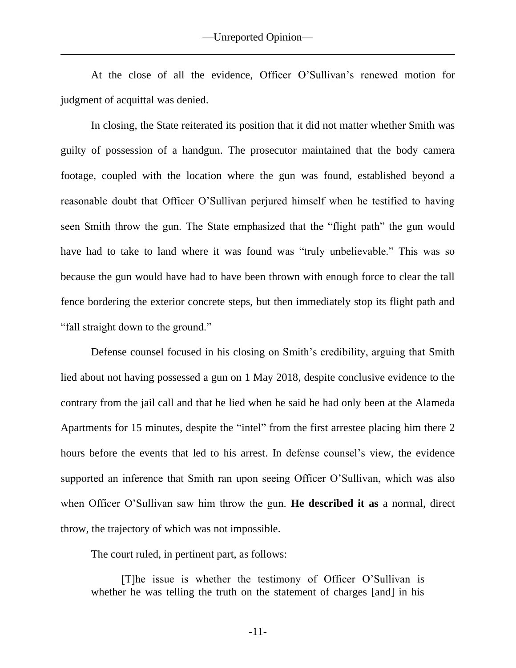At the close of all the evidence, Officer O'Sullivan's renewed motion for judgment of acquittal was denied.

In closing, the State reiterated its position that it did not matter whether Smith was guilty of possession of a handgun. The prosecutor maintained that the body camera footage, coupled with the location where the gun was found, established beyond a reasonable doubt that Officer O'Sullivan perjured himself when he testified to having seen Smith throw the gun. The State emphasized that the "flight path" the gun would have had to take to land where it was found was "truly unbelievable." This was so because the gun would have had to have been thrown with enough force to clear the tall fence bordering the exterior concrete steps, but then immediately stop its flight path and "fall straight down to the ground."

Defense counsel focused in his closing on Smith's credibility, arguing that Smith lied about not having possessed a gun on 1 May 2018, despite conclusive evidence to the contrary from the jail call and that he lied when he said he had only been at the Alameda Apartments for 15 minutes, despite the "intel" from the first arrestee placing him there 2 hours before the events that led to his arrest. In defense counsel's view, the evidence supported an inference that Smith ran upon seeing Officer O'Sullivan, which was also when Officer O'Sullivan saw him throw the gun. **He described it as** a normal, direct throw, the trajectory of which was not impossible.

The court ruled, in pertinent part, as follows:

[T]he issue is whether the testimony of Officer O'Sullivan is whether he was telling the truth on the statement of charges [and] in his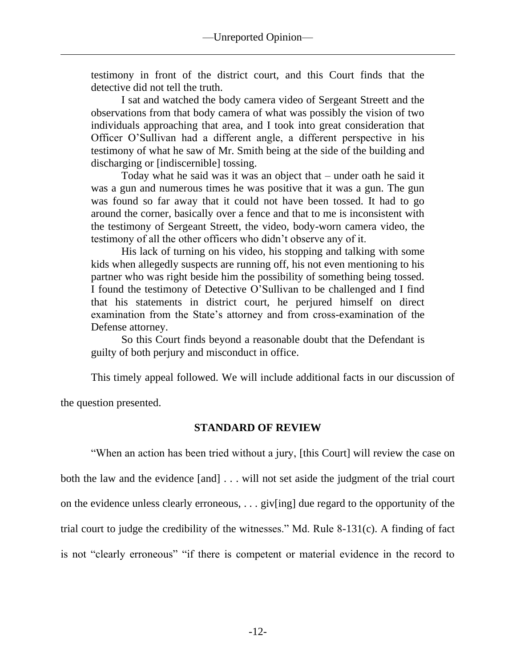testimony in front of the district court, and this Court finds that the detective did not tell the truth.

I sat and watched the body camera video of Sergeant Streett and the observations from that body camera of what was possibly the vision of two individuals approaching that area, and I took into great consideration that Officer O'Sullivan had a different angle, a different perspective in his testimony of what he saw of Mr. Smith being at the side of the building and discharging or [indiscernible] tossing.

Today what he said was it was an object that – under oath he said it was a gun and numerous times he was positive that it was a gun. The gun was found so far away that it could not have been tossed. It had to go around the corner, basically over a fence and that to me is inconsistent with the testimony of Sergeant Streett, the video, body-worn camera video, the testimony of all the other officers who didn't observe any of it.

His lack of turning on his video, his stopping and talking with some kids when allegedly suspects are running off, his not even mentioning to his partner who was right beside him the possibility of something being tossed. I found the testimony of Detective O'Sullivan to be challenged and I find that his statements in district court, he perjured himself on direct examination from the State's attorney and from cross-examination of the Defense attorney.

So this Court finds beyond a reasonable doubt that the Defendant is guilty of both perjury and misconduct in office.

This timely appeal followed. We will include additional facts in our discussion of

the question presented.

## **STANDARD OF REVIEW**

"When an action has been tried without a jury, [this Court] will review the case on both the law and the evidence [and] . . . will not set aside the judgment of the trial court on the evidence unless clearly erroneous, . . . giv[ing] due regard to the opportunity of the trial court to judge the credibility of the witnesses." Md. Rule 8-131(c). A finding of fact is not "clearly erroneous" "if there is competent or material evidence in the record to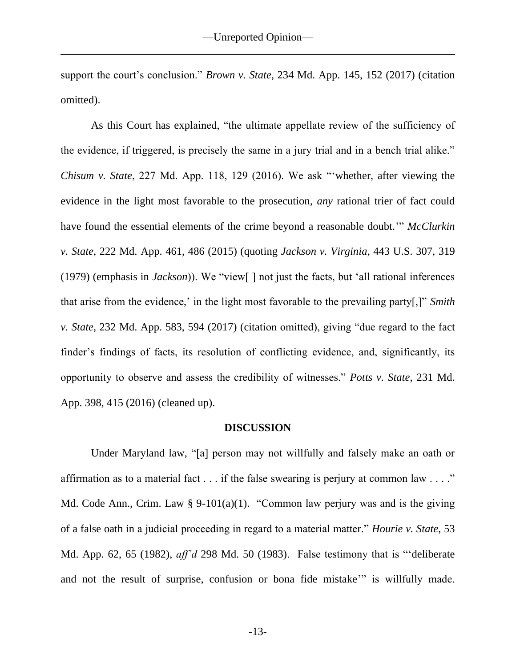support the court's conclusion." *Brown v. State*, 234 Md. App. 145, 152 (2017) (citation omitted).

As this Court has explained, "the ultimate appellate review of the sufficiency of the evidence, if triggered, is precisely the same in a jury trial and in a bench trial alike." *Chisum v. State*, 227 Md. App. 118, 129 (2016). We ask "'whether, after viewing the evidence in the light most favorable to the prosecution, *any* rational trier of fact could have found the essential elements of the crime beyond a reasonable doubt.'" *McClurkin v. State*, 222 Md. App. 461, 486 (2015) (quoting *Jackson v. Virginia*, 443 U.S. 307, 319 (1979) (emphasis in *Jackson*)). We "view[ ] not just the facts, but 'all rational inferences that arise from the evidence,' in the light most favorable to the prevailing party[,]" *Smith v. State*, 232 Md. App. 583, 594 (2017) (citation omitted), giving "due regard to the fact finder's findings of facts, its resolution of conflicting evidence, and, significantly, its opportunity to observe and assess the credibility of witnesses." *Potts v. State*, 231 Md. App. 398, 415 (2016) (cleaned up).

### **DISCUSSION**

Under Maryland law, "[a] person may not willfully and falsely make an oath or affirmation as to a material fact  $\dots$  if the false swearing is perjury at common law  $\dots$ ." Md. Code Ann., Crim. Law  $\S 9-101(a)(1)$ . "Common law perjury was and is the giving of a false oath in a judicial proceeding in regard to a material matter." *Hourie v. State*, 53 Md. App. 62, 65 (1982), *aff'd* 298 Md. 50 (1983). False testimony that is "'deliberate and not the result of surprise, confusion or bona fide mistake'" is willfully made.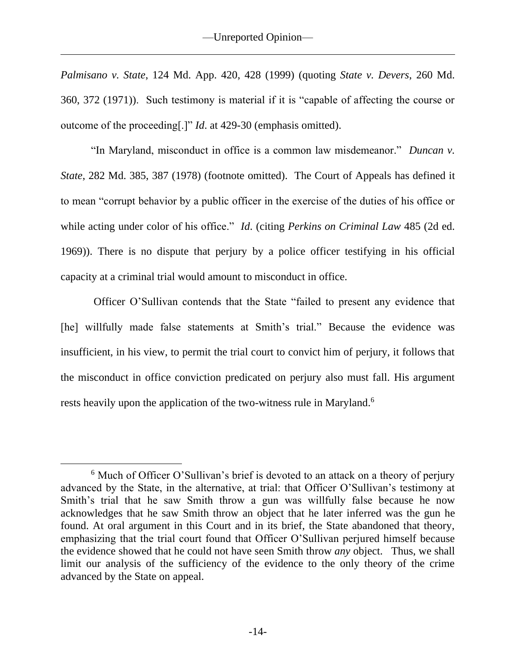*Palmisano v. State*, 124 Md. App. 420, 428 (1999) (quoting *State v. Devers*, 260 Md. 360, 372 (1971)). Such testimony is material if it is "capable of affecting the course or outcome of the proceeding[.]" *Id*. at 429-30 (emphasis omitted).

"In Maryland, misconduct in office is a common law misdemeanor." *Duncan v. State*, 282 Md. 385, 387 (1978) (footnote omitted). The Court of Appeals has defined it to mean "corrupt behavior by a public officer in the exercise of the duties of his office or while acting under color of his office." *Id*. (citing *Perkins on Criminal Law* 485 (2d ed. 1969)). There is no dispute that perjury by a police officer testifying in his official capacity at a criminal trial would amount to misconduct in office.

Officer O'Sullivan contends that the State "failed to present any evidence that [he] willfully made false statements at Smith's trial." Because the evidence was insufficient, in his view, to permit the trial court to convict him of perjury, it follows that the misconduct in office conviction predicated on perjury also must fall. His argument rests heavily upon the application of the two-witness rule in Maryland.<sup>6</sup>

<sup>&</sup>lt;sup>6</sup> Much of Officer O'Sullivan's brief is devoted to an attack on a theory of perjury advanced by the State, in the alternative, at trial: that Officer O'Sullivan's testimony at Smith's trial that he saw Smith throw a gun was willfully false because he now acknowledges that he saw Smith throw an object that he later inferred was the gun he found. At oral argument in this Court and in its brief, the State abandoned that theory, emphasizing that the trial court found that Officer O'Sullivan perjured himself because the evidence showed that he could not have seen Smith throw *any* object. Thus, we shall limit our analysis of the sufficiency of the evidence to the only theory of the crime advanced by the State on appeal.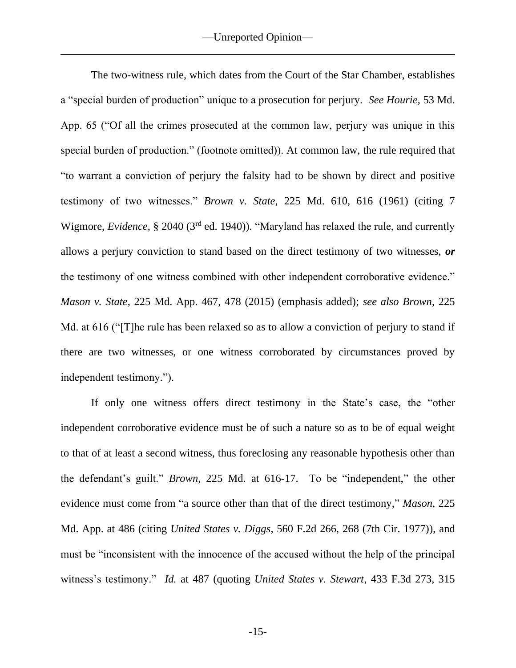The two-witness rule, which dates from the Court of the Star Chamber, establishes a "special burden of production" unique to a prosecution for perjury. *See Hourie*, 53 Md. App. 65 ("Of all the crimes prosecuted at the common law, perjury was unique in this special burden of production." (footnote omitted)). At common law, the rule required that "to warrant a conviction of perjury the falsity had to be shown by direct and positive testimony of two witnesses." *Brown v. State*, 225 Md. 610, 616 (1961) (citing 7 Wigmore, *Evidence*, § 2040 (3rd ed. 1940)). "Maryland has relaxed the rule, and currently allows a perjury conviction to stand based on the direct testimony of two witnesses, *or* the testimony of one witness combined with other independent corroborative evidence." *Mason v. State*, 225 Md. App. 467, 478 (2015) (emphasis added); *see also Brown*, 225 Md. at 616 ("The rule has been relaxed so as to allow a conviction of perjury to stand if there are two witnesses, or one witness corroborated by circumstances proved by independent testimony.").

If only one witness offers direct testimony in the State's case, the "other independent corroborative evidence must be of such a nature so as to be of equal weight to that of at least a second witness, thus foreclosing any reasonable hypothesis other than the defendant's guilt." *Brown*, 225 Md. at 616-17. To be "independent," the other evidence must come from "a source other than that of the direct testimony," *Mason*, 225 Md. App. at 486 (citing *United States v. Diggs*, 560 F.2d 266, 268 (7th Cir. 1977)), and must be "inconsistent with the innocence of the accused without the help of the principal witness's testimony." *Id.* at 487 (quoting *United States v. Stewart*, 433 F.3d 273, 315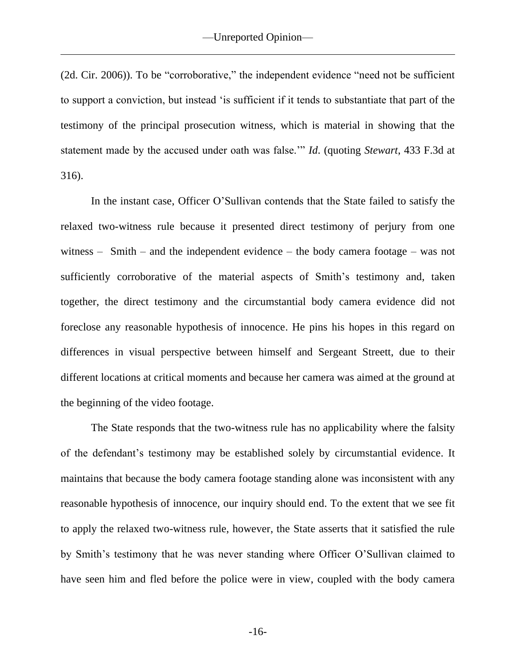(2d. Cir. 2006)). To be "corroborative," the independent evidence "need not be sufficient to support a conviction, but instead 'is sufficient if it tends to substantiate that part of the testimony of the principal prosecution witness, which is material in showing that the statement made by the accused under oath was false.'" *Id*. (quoting *Stewart*, 433 F.3d at 316).

In the instant case, Officer O'Sullivan contends that the State failed to satisfy the relaxed two-witness rule because it presented direct testimony of perjury from one witness – Smith – and the independent evidence – the body camera footage – was not sufficiently corroborative of the material aspects of Smith's testimony and, taken together, the direct testimony and the circumstantial body camera evidence did not foreclose any reasonable hypothesis of innocence. He pins his hopes in this regard on differences in visual perspective between himself and Sergeant Streett, due to their different locations at critical moments and because her camera was aimed at the ground at the beginning of the video footage.

The State responds that the two-witness rule has no applicability where the falsity of the defendant's testimony may be established solely by circumstantial evidence. It maintains that because the body camera footage standing alone was inconsistent with any reasonable hypothesis of innocence, our inquiry should end. To the extent that we see fit to apply the relaxed two-witness rule, however, the State asserts that it satisfied the rule by Smith's testimony that he was never standing where Officer O'Sullivan claimed to have seen him and fled before the police were in view, coupled with the body camera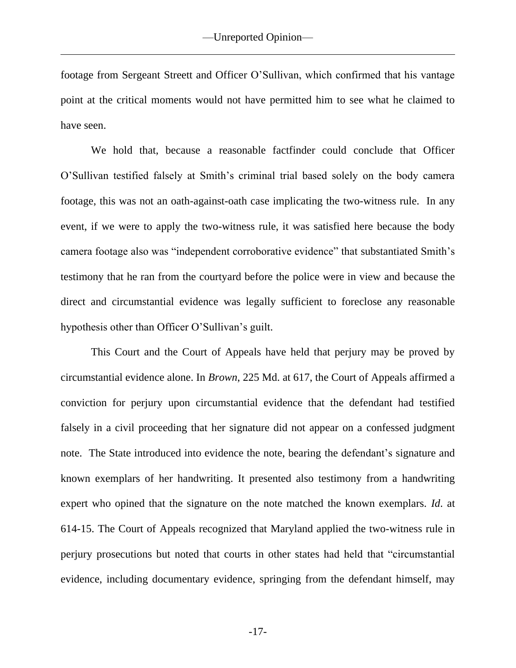footage from Sergeant Streett and Officer O'Sullivan, which confirmed that his vantage point at the critical moments would not have permitted him to see what he claimed to have seen.

We hold that, because a reasonable factfinder could conclude that Officer O'Sullivan testified falsely at Smith's criminal trial based solely on the body camera footage, this was not an oath-against-oath case implicating the two-witness rule. In any event, if we were to apply the two-witness rule, it was satisfied here because the body camera footage also was "independent corroborative evidence" that substantiated Smith's testimony that he ran from the courtyard before the police were in view and because the direct and circumstantial evidence was legally sufficient to foreclose any reasonable hypothesis other than Officer O'Sullivan's guilt.

This Court and the Court of Appeals have held that perjury may be proved by circumstantial evidence alone. In *Brown*, 225 Md. at 617, the Court of Appeals affirmed a conviction for perjury upon circumstantial evidence that the defendant had testified falsely in a civil proceeding that her signature did not appear on a confessed judgment note. The State introduced into evidence the note, bearing the defendant's signature and known exemplars of her handwriting. It presented also testimony from a handwriting expert who opined that the signature on the note matched the known exemplars. *Id*. at 614-15. The Court of Appeals recognized that Maryland applied the two-witness rule in perjury prosecutions but noted that courts in other states had held that "circumstantial evidence, including documentary evidence, springing from the defendant himself, may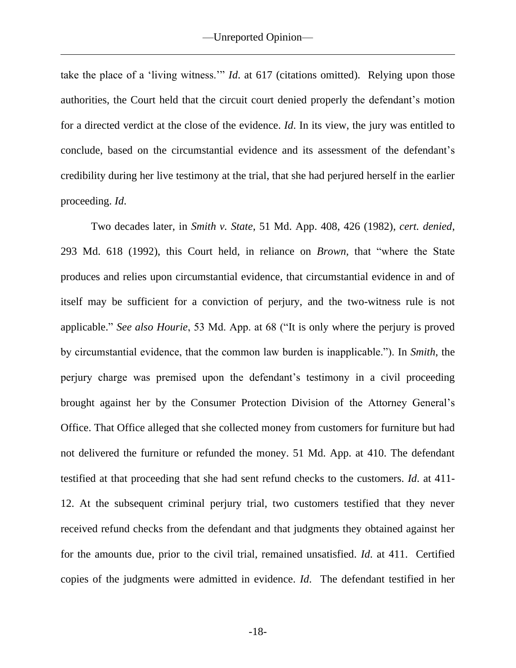take the place of a 'living witness.'" *Id*. at 617 (citations omitted). Relying upon those authorities, the Court held that the circuit court denied properly the defendant's motion for a directed verdict at the close of the evidence. *Id*. In its view, the jury was entitled to conclude, based on the circumstantial evidence and its assessment of the defendant's credibility during her live testimony at the trial, that she had perjured herself in the earlier proceeding. *Id*.

Two decades later, in *Smith v. State*, 51 Md. App. 408, 426 (1982), *cert. denied*, 293 Md. 618 (1992), this Court held, in reliance on *Brown,* that "where the State produces and relies upon circumstantial evidence, that circumstantial evidence in and of itself may be sufficient for a conviction of perjury, and the two-witness rule is not applicable." *See also Hourie*, 53 Md. App. at 68 ("It is only where the perjury is proved by circumstantial evidence, that the common law burden is inapplicable."). In *Smith*, the perjury charge was premised upon the defendant's testimony in a civil proceeding brought against her by the Consumer Protection Division of the Attorney General's Office. That Office alleged that she collected money from customers for furniture but had not delivered the furniture or refunded the money. 51 Md. App. at 410. The defendant testified at that proceeding that she had sent refund checks to the customers. *Id*. at 411- 12. At the subsequent criminal perjury trial, two customers testified that they never received refund checks from the defendant and that judgments they obtained against her for the amounts due, prior to the civil trial, remained unsatisfied. *Id*. at 411. Certified copies of the judgments were admitted in evidence. *Id*. The defendant testified in her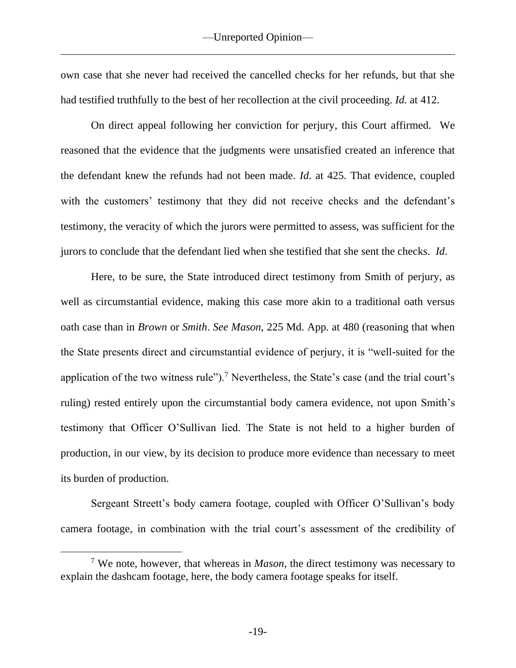own case that she never had received the cancelled checks for her refunds, but that she had testified truthfully to the best of her recollection at the civil proceeding. *Id.* at 412.

On direct appeal following her conviction for perjury, this Court affirmed. We reasoned that the evidence that the judgments were unsatisfied created an inference that the defendant knew the refunds had not been made. *Id*. at 425. That evidence, coupled with the customers' testimony that they did not receive checks and the defendant's testimony, the veracity of which the jurors were permitted to assess, was sufficient for the jurors to conclude that the defendant lied when she testified that she sent the checks. *Id*.

Here, to be sure, the State introduced direct testimony from Smith of perjury, as well as circumstantial evidence, making this case more akin to a traditional oath versus oath case than in *Brown* or *Smith*. *See Mason*, 225 Md. App. at 480 (reasoning that when the State presents direct and circumstantial evidence of perjury, it is "well-suited for the application of the two witness rule").<sup>7</sup> Nevertheless, the State's case (and the trial court's ruling) rested entirely upon the circumstantial body camera evidence, not upon Smith's testimony that Officer O'Sullivan lied. The State is not held to a higher burden of production, in our view, by its decision to produce more evidence than necessary to meet its burden of production.

Sergeant Streett's body camera footage, coupled with Officer O'Sullivan's body camera footage, in combination with the trial court's assessment of the credibility of

<sup>7</sup> We note, however, that whereas in *Mason*, the direct testimony was necessary to explain the dashcam footage, here, the body camera footage speaks for itself.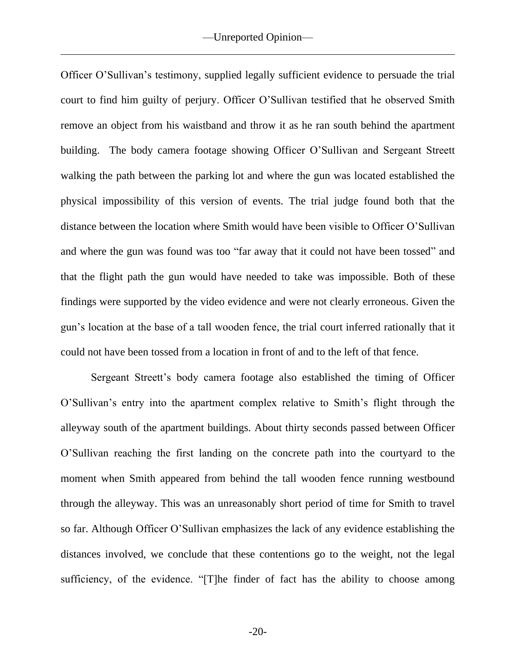Officer O'Sullivan's testimony, supplied legally sufficient evidence to persuade the trial court to find him guilty of perjury. Officer O'Sullivan testified that he observed Smith remove an object from his waistband and throw it as he ran south behind the apartment building. The body camera footage showing Officer O'Sullivan and Sergeant Streett walking the path between the parking lot and where the gun was located established the physical impossibility of this version of events. The trial judge found both that the distance between the location where Smith would have been visible to Officer O'Sullivan and where the gun was found was too "far away that it could not have been tossed" and that the flight path the gun would have needed to take was impossible. Both of these findings were supported by the video evidence and were not clearly erroneous. Given the gun's location at the base of a tall wooden fence, the trial court inferred rationally that it could not have been tossed from a location in front of and to the left of that fence.

Sergeant Streett's body camera footage also established the timing of Officer O'Sullivan's entry into the apartment complex relative to Smith's flight through the alleyway south of the apartment buildings. About thirty seconds passed between Officer O'Sullivan reaching the first landing on the concrete path into the courtyard to the moment when Smith appeared from behind the tall wooden fence running westbound through the alleyway. This was an unreasonably short period of time for Smith to travel so far. Although Officer O'Sullivan emphasizes the lack of any evidence establishing the distances involved, we conclude that these contentions go to the weight, not the legal sufficiency, of the evidence. "[T]he finder of fact has the ability to choose among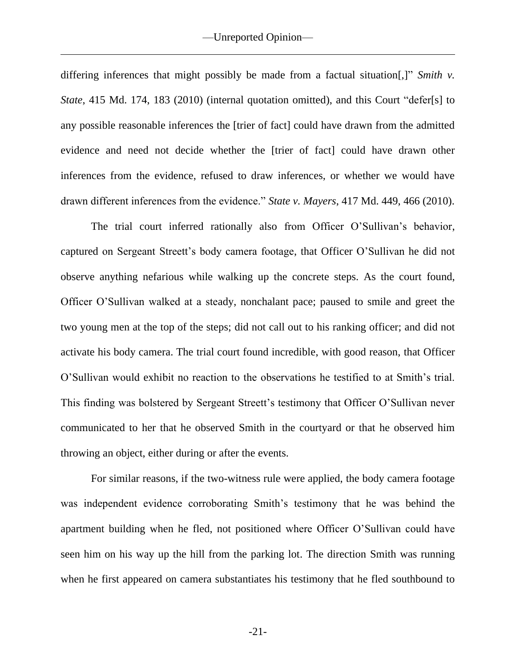differing inferences that might possibly be made from a factual situation[,]" *Smith v. State*, 415 Md. 174, 183 (2010) (internal quotation omitted), and this Court "defer[s] to any possible reasonable inferences the [trier of fact] could have drawn from the admitted evidence and need not decide whether the [trier of fact] could have drawn other inferences from the evidence, refused to draw inferences, or whether we would have drawn different inferences from the evidence." *State v. Mayers*, 417 Md. 449, 466 (2010).

The trial court inferred rationally also from Officer O'Sullivan's behavior, captured on Sergeant Streett's body camera footage, that Officer O'Sullivan he did not observe anything nefarious while walking up the concrete steps. As the court found, Officer O'Sullivan walked at a steady, nonchalant pace; paused to smile and greet the two young men at the top of the steps; did not call out to his ranking officer; and did not activate his body camera. The trial court found incredible, with good reason, that Officer O'Sullivan would exhibit no reaction to the observations he testified to at Smith's trial. This finding was bolstered by Sergeant Streett's testimony that Officer O'Sullivan never communicated to her that he observed Smith in the courtyard or that he observed him throwing an object, either during or after the events.

For similar reasons, if the two-witness rule were applied, the body camera footage was independent evidence corroborating Smith's testimony that he was behind the apartment building when he fled, not positioned where Officer O'Sullivan could have seen him on his way up the hill from the parking lot. The direction Smith was running when he first appeared on camera substantiates his testimony that he fled southbound to

-21-